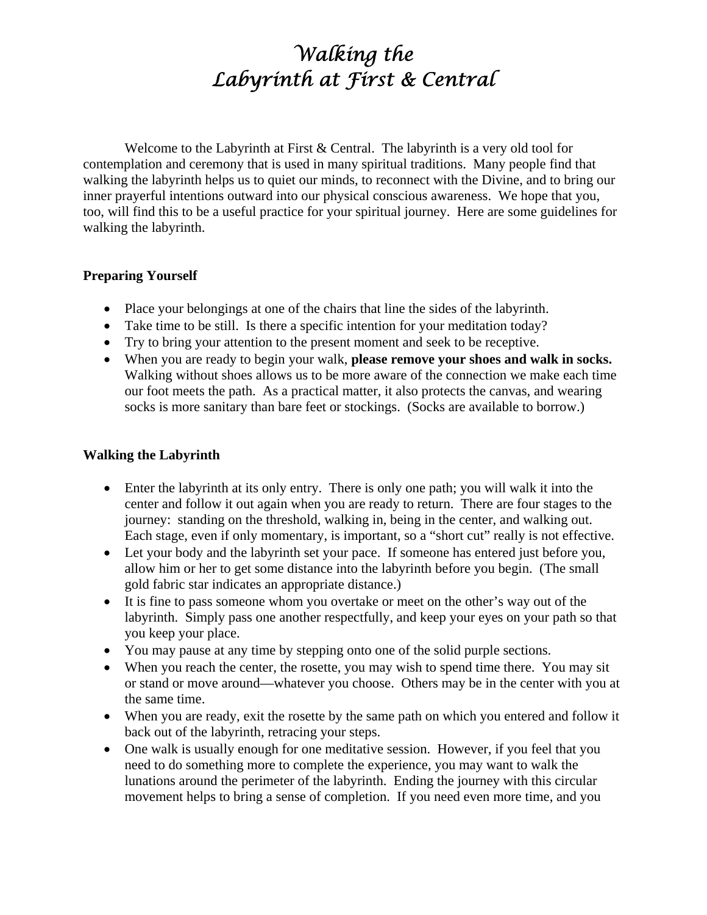# *Walking the Labyrinth at First & Central*

Welcome to the Labyrinth at First & Central. The labyrinth is a very old tool for contemplation and ceremony that is used in many spiritual traditions. Many people find that walking the labyrinth helps us to quiet our minds, to reconnect with the Divine, and to bring our inner prayerful intentions outward into our physical conscious awareness. We hope that you, too, will find this to be a useful practice for your spiritual journey. Here are some guidelines for walking the labyrinth.

#### **Preparing Yourself**

- Place your belongings at one of the chairs that line the sides of the labyrinth.
- Take time to be still. Is there a specific intention for your meditation today?
- Try to bring your attention to the present moment and seek to be receptive.
- When you are ready to begin your walk, **please remove your shoes and walk in socks.** Walking without shoes allows us to be more aware of the connection we make each time our foot meets the path. As a practical matter, it also protects the canvas, and wearing socks is more sanitary than bare feet or stockings. (Socks are available to borrow.)

## **Walking the Labyrinth**

- Enter the labyrinth at its only entry. There is only one path; you will walk it into the center and follow it out again when you are ready to return. There are four stages to the journey: standing on the threshold, walking in, being in the center, and walking out. Each stage, even if only momentary, is important, so a "short cut" really is not effective.
- Let your body and the labyrinth set your pace. If someone has entered just before you, allow him or her to get some distance into the labyrinth before you begin. (The small gold fabric star indicates an appropriate distance.)
- It is fine to pass someone whom you overtake or meet on the other's way out of the labyrinth. Simply pass one another respectfully, and keep your eyes on your path so that you keep your place.
- You may pause at any time by stepping onto one of the solid purple sections.
- When you reach the center, the rosette, you may wish to spend time there. You may sit or stand or move around—whatever you choose. Others may be in the center with you at the same time.
- When you are ready, exit the rosette by the same path on which you entered and follow it back out of the labyrinth, retracing your steps.
- One walk is usually enough for one meditative session. However, if you feel that you need to do something more to complete the experience, you may want to walk the lunations around the perimeter of the labyrinth. Ending the journey with this circular movement helps to bring a sense of completion. If you need even more time, and you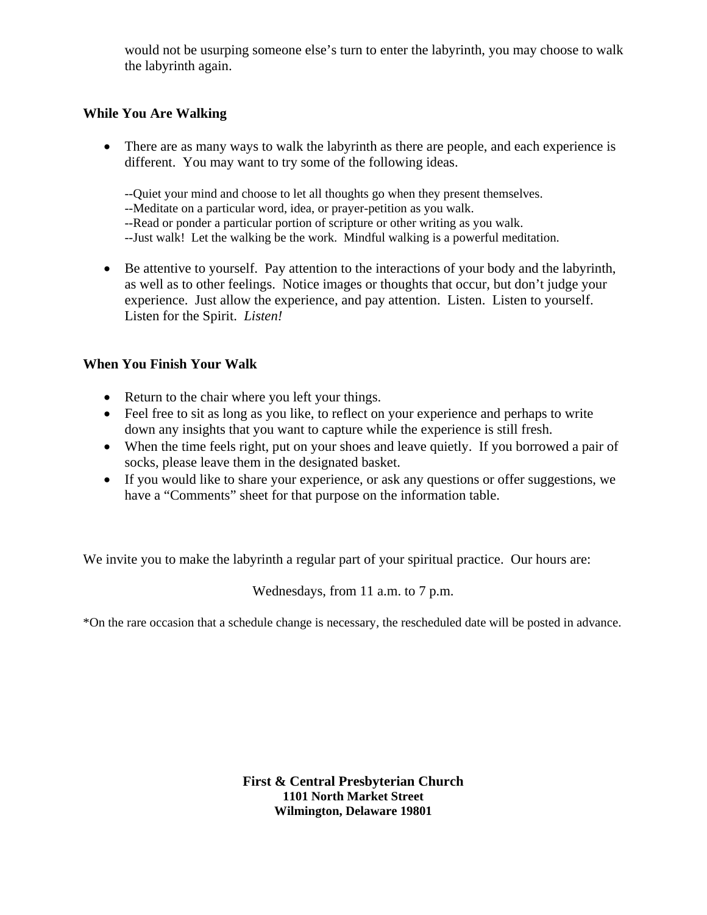would not be usurping someone else's turn to enter the labyrinth, you may choose to walk the labyrinth again.

## **While You Are Walking**

• There are as many ways to walk the labyrinth as there are people, and each experience is different. You may want to try some of the following ideas.

--Quiet your mind and choose to let all thoughts go when they present themselves.

--Meditate on a particular word, idea, or prayer-petition as you walk.

--Read or ponder a particular portion of scripture or other writing as you walk.

--Just walk! Let the walking be the work. Mindful walking is a powerful meditation.

• Be attentive to yourself. Pay attention to the interactions of your body and the labyrinth, as well as to other feelings. Notice images or thoughts that occur, but don't judge your experience. Just allow the experience, and pay attention. Listen. Listen to yourself. Listen for the Spirit. *Listen!*

## **When You Finish Your Walk**

- Return to the chair where you left your things.
- Feel free to sit as long as you like, to reflect on your experience and perhaps to write down any insights that you want to capture while the experience is still fresh.
- When the time feels right, put on your shoes and leave quietly. If you borrowed a pair of socks, please leave them in the designated basket.
- If you would like to share your experience, or ask any questions or offer suggestions, we have a "Comments" sheet for that purpose on the information table.

We invite you to make the labyrinth a regular part of your spiritual practice. Our hours are:

Wednesdays, from 11 a.m. to 7 p.m.

\*On the rare occasion that a schedule change is necessary, the rescheduled date will be posted in advance.

**First & Central Presbyterian Church 1101 North Market Street Wilmington, Delaware 19801**